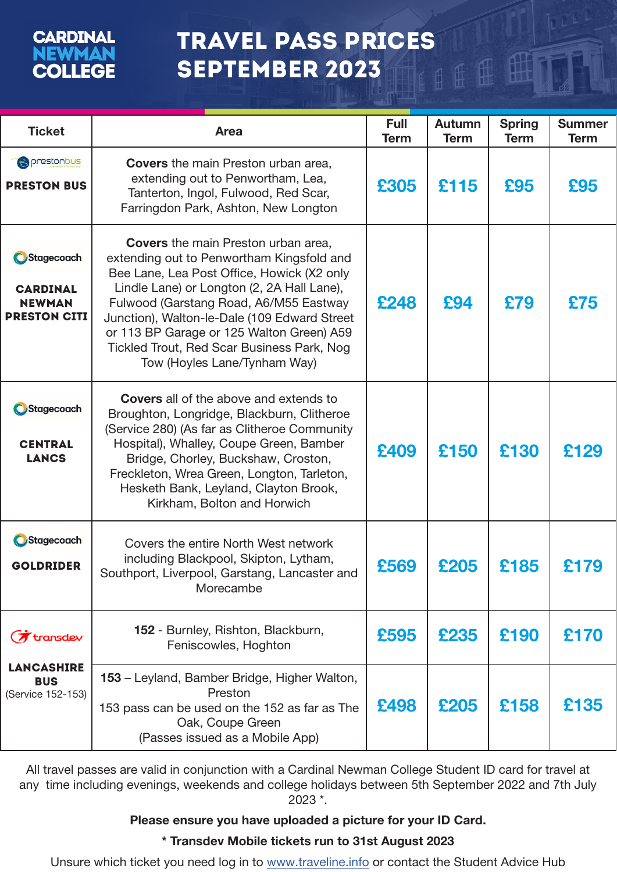## **CARDINAL** EWMAN **COLLEGE**

## TRAVEL PASS PRICES – SEPTEMBER 2023  $\text{H}$

 $\mathbb{f}$ 

| <b>Ticket</b>                                                         | <b>Area</b>                                                                                                                                                                                                                                                                                                                                                                                              | <b>Full</b><br><b>Term</b> | Autumn<br><b>Term</b> | <b>Spring</b><br><b>Term</b> | <b>Summer</b><br><b>Term</b> |
|-----------------------------------------------------------------------|----------------------------------------------------------------------------------------------------------------------------------------------------------------------------------------------------------------------------------------------------------------------------------------------------------------------------------------------------------------------------------------------------------|----------------------------|-----------------------|------------------------------|------------------------------|
| <b>B</b> prestonbus<br><b>PRESTON BUS</b>                             | <b>Covers</b> the main Preston urban area,<br>extending out to Penwortham, Lea,<br>Tanterton, Ingol, Fulwood, Red Scar,<br>Farringdon Park, Ashton, New Longton                                                                                                                                                                                                                                          | £305                       | £115                  | £95                          | £95                          |
| Stagecoach<br><b>CARDINAL</b><br><b>NEWMAN</b><br><b>PRESTON CITI</b> | <b>Covers</b> the main Preston urban area,<br>extending out to Penwortham Kingsfold and<br>Bee Lane, Lea Post Office, Howick (X2 only<br>Lindle Lane) or Longton (2, 2A Hall Lane),<br>Fulwood (Garstang Road, A6/M55 Eastway<br>Junction), Walton-le-Dale (109 Edward Street<br>or 113 BP Garage or 125 Walton Green) A59<br>Tickled Trout, Red Scar Business Park, Nog<br>Tow (Hoyles Lane/Tynham Way) | £248                       | £94                   | £79                          | £75                          |
| Stagecoach<br><b>CENTRAL</b><br><b>LANCS</b>                          | <b>Covers</b> all of the above and extends to<br>Broughton, Longridge, Blackburn, Clitheroe<br>(Service 280) (As far as Clitheroe Community<br>Hospital), Whalley, Coupe Green, Bamber<br>Bridge, Chorley, Buckshaw, Croston,<br>Freckleton, Wrea Green, Longton, Tarleton,<br>Hesketh Bank, Leyland, Clayton Brook,<br>Kirkham, Bolton and Horwich                                                      | £409                       | £150                  | £130                         | £129                         |
| <b>O</b> Stagecoach<br><b>GOLDRIDER</b>                               | Covers the entire North West network<br>including Blackpool, Skipton, Lytham,<br>Southport, Liverpool, Garstang, Lancaster and<br>Morecambe                                                                                                                                                                                                                                                              | £569                       | £205                  | £185                         | £179                         |
| $\sigma$ transdev                                                     | 152 - Burnley, Rishton, Blackburn,<br>Feniscowles, Hoghton                                                                                                                                                                                                                                                                                                                                               | £595                       | £235                  | £190                         | £170                         |
| <b>LANCASHIRE</b><br><b>BUS</b><br>(Service 152-153)                  | 153 – Leyland, Bamber Bridge, Higher Walton,<br>Preston<br>153 pass can be used on the 152 as far as The<br>Oak, Coupe Green<br>(Passes issued as a Mobile App)                                                                                                                                                                                                                                          | £498                       | £205                  | £158                         | £135                         |

All travel passes are valid in conjunction with a Cardinal Newman College Student ID card for travel at any time including evenings, weekends and college holidays between 5th September 2022 and 7th July 2023 \*.

### Please ensure you have uploaded a picture for your ID Card.

## \* Transdev Mobile tickets run to 31st August 2023

Unsure which ticket you need log in to www.traveline.info or contact the Student Advice Hub